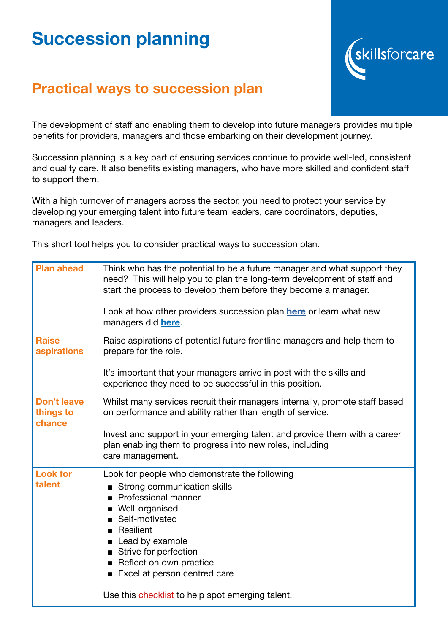## Succession planning



## Practical ways to succession plan

The development of staff and enabling them to develop into future managers provides multiple benefits for providers, managers and those embarking on their development journey.

Succession planning is a key part of ensuring services continue to provide well-led, consistent and quality care. It also benefits existing managers, who have more skilled and confident staff to support them.

With a high turnover of managers across the sector, you need to protect your service by developing your emerging talent into future team leaders, care coordinators, deputies, managers and leaders.

This short tool helps you to consider practical ways to succession plan.

| <b>Plan ahead</b>                         | Think who has the potential to be a future manager and what support they<br>need? This will help you to plan the long-term development of staff and<br>start the process to develop them before they become a manager.<br>Look at how other providers succession plan here or learn what new<br>managers did here. |
|-------------------------------------------|--------------------------------------------------------------------------------------------------------------------------------------------------------------------------------------------------------------------------------------------------------------------------------------------------------------------|
| <b>Raise</b><br>aspirations               | Raise aspirations of potential future frontline managers and help them to<br>prepare for the role.<br>It's important that your managers arrive in post with the skills and<br>experience they need to be successful in this position.                                                                              |
| <b>Don't leave</b><br>things to<br>chance | Whilst many services recruit their managers internally, promote staff based<br>on performance and ability rather than length of service.<br>Invest and support in your emerging talent and provide them with a career<br>plan enabling them to progress into new roles, including<br>care management.              |
| <b>Look for</b><br>talent                 | Look for people who demonstrate the following<br>■ Strong communication skills<br>Professional manner<br>Well-organised<br>Self-motivated<br>Resilient<br>■<br>Lead by example<br>Strive for perfection<br>Reflect on own practice<br>Excel at person centred care                                                 |
|                                           | Use this checklist to help spot emerging talent.                                                                                                                                                                                                                                                                   |